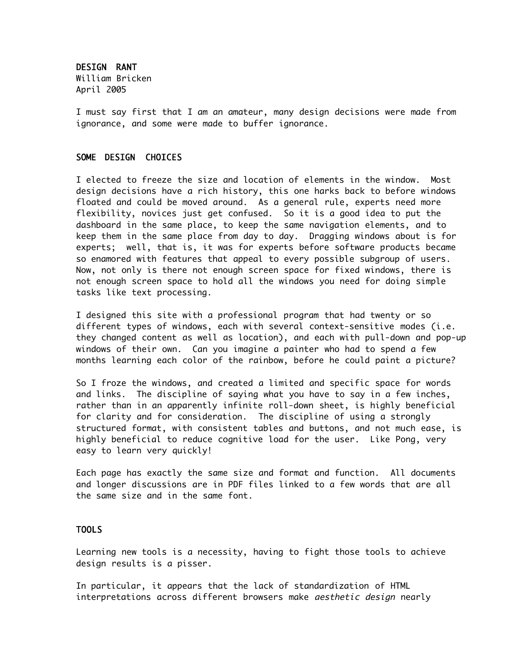DESIGN RANT William Bricken April 2005

I must say first that I am an amateur, many design decisions were made from ignorance, and some were made to buffer ignorance.

## SOME DESIGN CHOICES

I elected to freeze the size and location of elements in the window. Most design decisions have a rich history, this one harks back to before windows floated and could be moved around. As a general rule, experts need more flexibility, novices just get confused. So it is a good idea to put the dashboard in the same place, to keep the same navigation elements, and to keep them in the same place from day to day. Dragging windows about is for experts; well, that is, it was for experts before software products became so enamored with features that appeal to every possible subgroup of users. Now, not only is there not enough screen space for fixed windows, there is not enough screen space to hold all the windows you need for doing simple tasks like text processing.

I designed this site with a professional program that had twenty or so different types of windows, each with several context-sensitive modes (i.e. they changed content as well as location), and each with pull-down and pop-up windows of their own. Can you imagine a painter who had to spend a few months learning each color of the rainbow, before he could paint a picture?

So I froze the windows, and created a limited and specific space for words and links. The discipline of saying what you have to say in a few inches, rather than in an apparently infinite roll-down sheet, is highly beneficial for clarity and for consideration. The discipline of using a strongly structured format, with consistent tables and buttons, and not much ease, is highly beneficial to reduce cognitive load for the user. Like Pong, very easy to learn very quickly!

Each page has exactly the same size and format and function. All documents and longer discussions are in PDF files linked to a few words that are all the same size and in the same font.

## TOOLS

Learning new tools is a necessity, having to fight those tools to achieve design results is a pisser.

In particular, it appears that the lack of standardization of HTML interpretations across different browsers make *aesthetic design* nearly